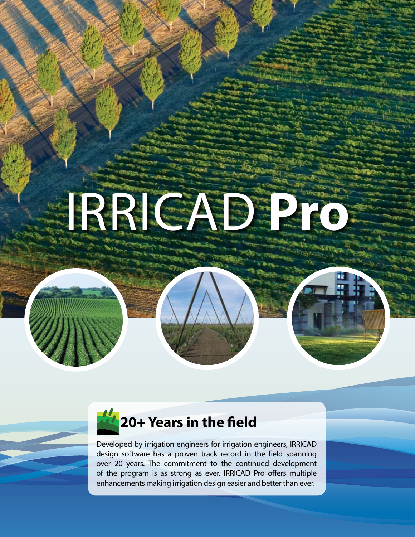# **IRRICADE DE L'ANCHE DE L'ANCHE DE L'ANCHE DE L'ANCHE DE L'ANCHE DE L'ANCHE DE L'ANCHE DE L'ANCHE DE L'ANCHE DE**



Developed by irrigation engineers for irrigation engineers, IRRICAD design software has a proven track record in the field spanning over 20 years. The commitment to the continued development of the program is as strong as ever. IRRICAD Pro offers multiple enhancements making irrigation design easier and better than ever.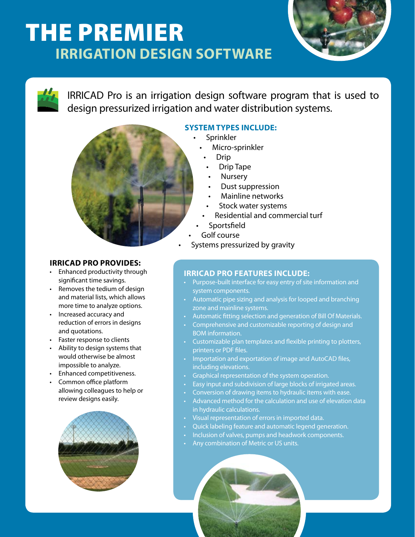# The Premier  **Irrigation Design Software**



IRRICAD Pro is an irrigation design software program that is used to design pressurized irrigation and water distribution systems.



## **System types include:**

- Sprinkler
- Micro-sprinkler
	- Drip
		- Drip Tape
		- **Nursery**
		- Dust suppression
		- Mainline networks
		- Stock water systems
	- Residential and commercial turf
- Sportsfield
- Golf course
- Systems pressurized by gravity

## **IRRICAD PRO Provides:**

- Enhanced productivity through significant time savings.
- Removes the tedium of design and material lists, which allows more time to analyze options.
- • Increased accuracy and reduction of errors in designs and quotations.
- • Faster response to clients
- Ability to design systems that would otherwise be almost impossible to analyze.
- • Enhanced competitiveness.
- Common office platform allowing colleagues to help or review designs easily.



## **IRRICAD PRO Features Include:**

- Purpose-built interface for easy entry of site information and system components.
- Automatic pipe sizing and analysis for looped and branching zone and mainline systems.
- Automatic fitting selection and generation of Bill Of Materials.
- • Comprehensive and customizable reporting of design and BOM information.
- • Customizable plan templates and flexible printing to plotters, printers or PDF files.
- Importation and exportation of image and AutoCAD files, including elevations.
- Graphical representation of the system operation.
- Easy input and subdivision of large blocks of irrigated areas.
- Conversion of drawing items to hydraulic items with ease.
- Advanced method for the calculation and use of elevation data in hydraulic calculations.
- Visual representation of errors in imported data.
- Quick labeling feature and automatic legend generation.
	- Inclusion of valves, pumps and headwork components.
- Any combination of Metric or US units.

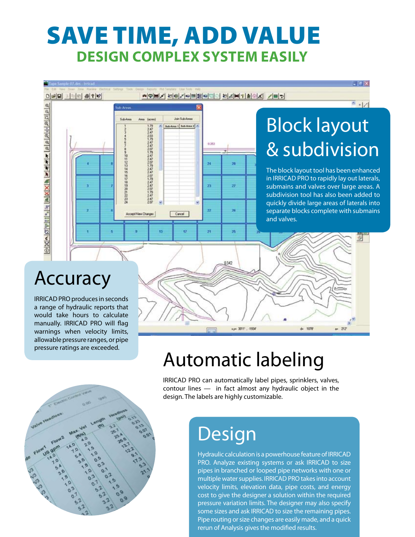# save time, add value **design complex system easily**



## Accuracy

IRRICAD PRO produces in seconds a range of hydraulic reports that would take hours to calculate manually. IRRICAD PRO will flag warnings when velocity limits, allowable pressure ranges, or pipe pressure ratings are exceeded.

# Automatic labeling

u= 3011', -1934

1070

 $-315$ 

IRRICAD PRO can automatically label pipes, sprinklers, valves, contour lines — in fact almost any hydraulic object in the design. The labels are highly customizable.

# **Design**

Hydraulic calculation is a powerhouse feature of IRRICAD PRO. Analyze existing systems or ask IRRICAD to size pipes in branched or looped pipe networks with one or multiple water supplies. IRRICAD PRO takes into account velocity limits, elevation data, pipe costs, and energy cost to give the designer a solution within the required pressure variation limits. The designer may also specify some sizes and ask IRRICAD to size the remaining pipes. Pipe routing or size changes are easily made, and a quick rerun of Analysis gives the modified results.